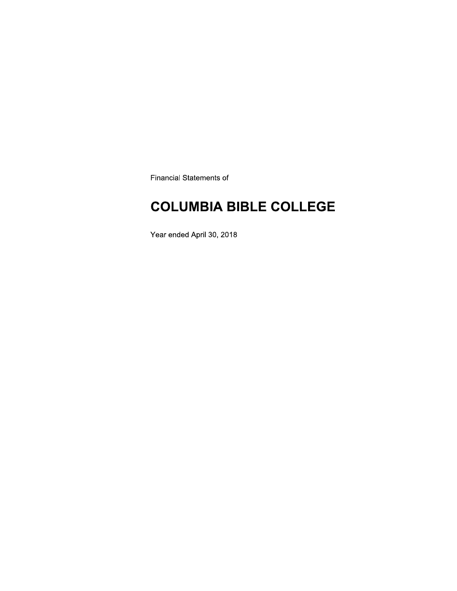**Financial Statements of** 

## **COLUMBIA BIBLE COLLEGE**

Year ended April 30, 2018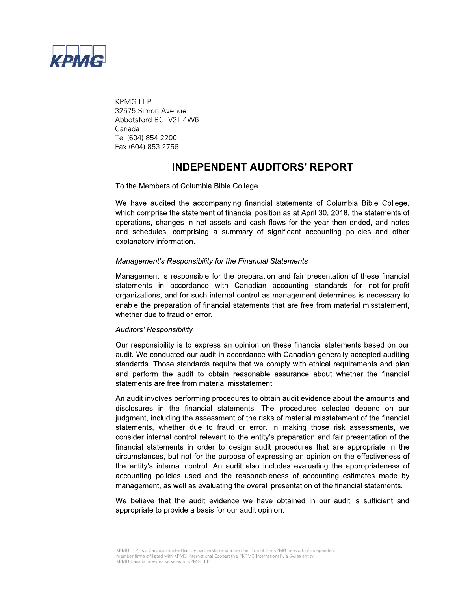

**KPMG LLP** 32575 Simon Avenue Abbotsford BC V2T 4W6 Canada Tel (604) 854-2200 Fax (604) 853-2756

### **INDEPENDENT AUDITORS' REPORT**

To the Members of Columbia Bible College

We have audited the accompanying financial statements of Columbia Bible College, which comprise the statement of financial position as at April 30, 2018, the statements of operations, changes in net assets and cash flows for the year then ended, and notes and schedules, comprising a summary of significant accounting policies and other explanatory information.

### Management's Responsibility for the Financial Statements

Management is responsible for the preparation and fair presentation of these financial statements in accordance with Canadian accounting standards for not-for-profit organizations, and for such internal control as management determines is necessary to enable the preparation of financial statements that are free from material misstatement. whether due to fraud or error.

#### **Auditors' Responsibility**

Our responsibility is to express an opinion on these financial statements based on our audit. We conducted our audit in accordance with Canadian generally accepted auditing standards. Those standards require that we comply with ethical requirements and plan and perform the audit to obtain reasonable assurance about whether the financial statements are free from material misstatement.

An audit involves performing procedures to obtain audit evidence about the amounts and disclosures in the financial statements. The procedures selected depend on our judgment, including the assessment of the risks of material misstatement of the financial statements, whether due to fraud or error. In making those risk assessments, we consider internal control relevant to the entity's preparation and fair presentation of the financial statements in order to design audit procedures that are appropriate in the circumstances, but not for the purpose of expressing an opinion on the effectiveness of the entity's internal control. An audit also includes evaluating the appropriateness of accounting policies used and the reasonableness of accounting estimates made by management, as well as evaluating the overall presentation of the financial statements.

We believe that the audit evidence we have obtained in our audit is sufficient and appropriate to provide a basis for our audit opinion.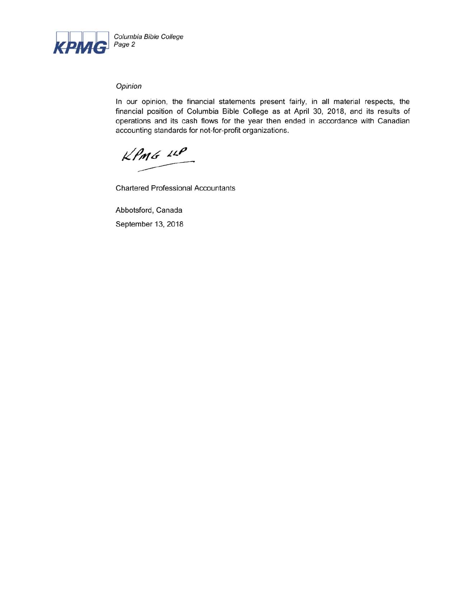

### Opinion

In our opinion, the financial statements present fairly, in all material respects, the financial position of Columbia Bible College as at April 30, 2018, and its results of operations and its cash flows for the year then ended in accordance with Canadian accounting standards for not-for-profit organizations.

 $KPMG$  12P

**Chartered Professional Accountants** 

Abbotsford, Canada September 13, 2018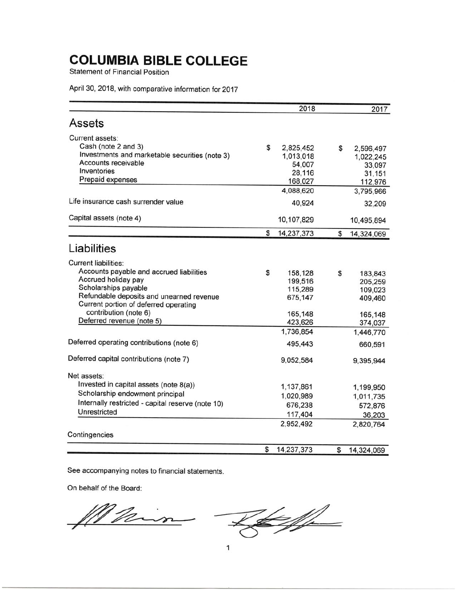**Statement of Financial Position** 

April 30, 2018, with comparative information for 2017

|                                                                                   | 2018               | 2017             |
|-----------------------------------------------------------------------------------|--------------------|------------------|
| Assets                                                                            |                    |                  |
| Current assets:                                                                   |                    |                  |
| Cash (note 2 and 3)                                                               | \$<br>2,825,452    | \$<br>2,596,497  |
| Investments and marketable securities (note 3)                                    | 1,013,018          | 1,022,245        |
| Accounts receivable                                                               | 54,007             | 33,097           |
| Inventories                                                                       | 28,116             | 31,151           |
| Prepaid expenses                                                                  | 168,027            | 112,976          |
|                                                                                   | 4,088,620          | 3,795,966        |
| Life insurance cash surrender value                                               | 40,924             | 32,209           |
| Capital assets (note 4)                                                           | 10,107,829         | 10,495,894       |
|                                                                                   | \$<br>14,237,373   | \$<br>14,324,069 |
| Liabilities                                                                       |                    |                  |
| <b>Current liabilities:</b>                                                       |                    |                  |
| Accounts payable and accrued liabilities                                          | \$<br>158,128      | \$<br>183,843    |
| Accrued holiday pay                                                               | 199,516            | 205,259          |
| Scholarships payable                                                              | 115,289            | 109,023          |
| Refundable deposits and unearned revenue<br>Current portion of deferred operating | 675,147            | 409,460          |
| contribution (note 6)                                                             |                    |                  |
| Deferred revenue (note 5)                                                         | 165,148<br>423,626 | 165,148          |
|                                                                                   | 1,736,854          | 374,037          |
|                                                                                   |                    | 1,446,770        |
| Deferred operating contributions (note 6)                                         | 495,443            | 660,591          |
| Deferred capital contributions (note 7)                                           | 9,052,584          | 9,395,944        |
| Net assets:                                                                       |                    |                  |
| Invested in capital assets (note 8(a))                                            | 1,137,861          | 1,199,950        |
| Scholarship endowment principal                                                   | 1,020,989          | 1,011,735        |
| Internally restricted - capital reserve (note 10)                                 | 676,238            | 572,876          |
| Unrestricted                                                                      | 117,404            | 36,203           |
|                                                                                   | 2,952,492          | 2,820,764        |
| Contingencies                                                                     |                    |                  |
|                                                                                   | \$<br>14,237,373   | \$<br>14,324,069 |

See accompanying notes to financial statements.

On behalf of the Board:

Leffe Main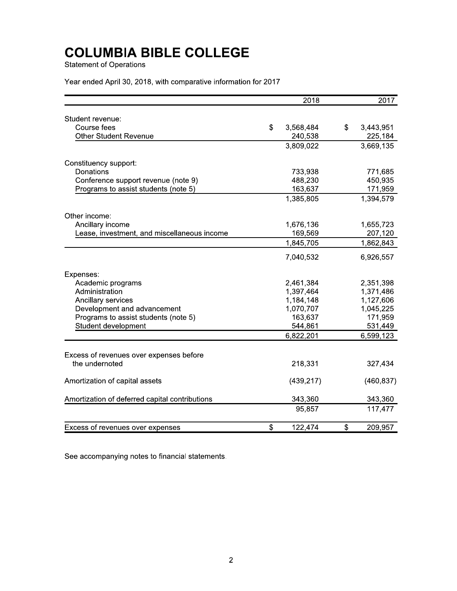**Statement of Operations** 

Year ended April 30, 2018, with comparative information for 2017

|                                                | 2018            | 2017            |
|------------------------------------------------|-----------------|-----------------|
| Student revenue:                               |                 |                 |
| Course fees                                    | \$<br>3,568,484 | \$<br>3,443,951 |
| <b>Other Student Revenue</b>                   | 240,538         | 225,184         |
|                                                | 3,809,022       | 3,669,135       |
| Constituency support:                          |                 |                 |
| Donations                                      | 733,938         | 771,685         |
| Conference support revenue (note 9)            | 488,230         | 450,935         |
| Programs to assist students (note 5)           | 163,637         | 171,959         |
|                                                | 1,385,805       | 1,394,579       |
| Other income:                                  |                 |                 |
| Ancillary income                               | 1,676,136       | 1,655,723       |
| Lease, investment, and miscellaneous income    | 169,569         | 207,120         |
|                                                | 1,845,705       | 1,862,843       |
|                                                | 7,040,532       | 6,926,557       |
| Expenses:                                      |                 |                 |
| Academic programs                              | 2,461,384       | 2,351,398       |
| Administration                                 | 1,397,464       | 1,371,486       |
| Ancillary services                             | 1,184,148       | 1,127,606       |
| Development and advancement                    | 1,070,707       | 1,045,225       |
| Programs to assist students (note 5)           | 163,637         | 171,959         |
| Student development                            | 544,861         | 531,449         |
|                                                | 6,822,201       | 6,599,123       |
| Excess of revenues over expenses before        |                 |                 |
| the undernoted                                 | 218,331         | 327,434         |
| Amortization of capital assets                 | (439, 217)      | (460, 837)      |
| Amortization of deferred capital contributions | 343,360         | 343,360         |
|                                                | 95,857          | 117,477         |
| Excess of revenues over expenses               | \$<br>122,474   | \$<br>209,957   |

See accompanying notes to financial statements.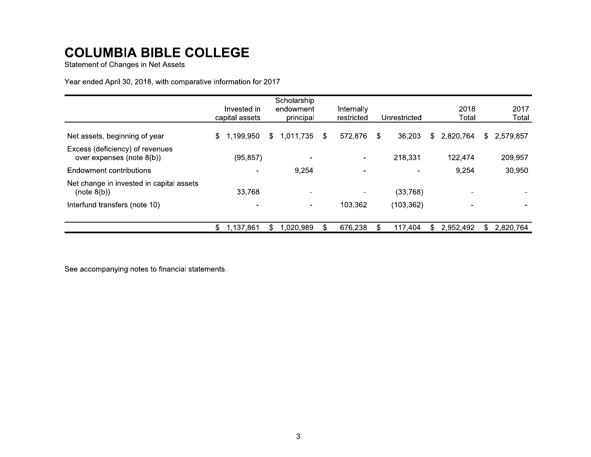**Statement of Changes in Net Assets** 

Year ended April 30, 2018, with comparative information for 2017

|                                                              | Invested in<br>capital assets | Scholarship<br>endowment<br>principal |    | Internally<br>restricted | Unrestricted | 2018<br>Total    | 2017<br>Total    |
|--------------------------------------------------------------|-------------------------------|---------------------------------------|----|--------------------------|--------------|------------------|------------------|
| Net assets, beginning of year                                | \$<br>1,199,950               | S.<br>1,011,735                       | S. | 572,876                  | \$<br>36,203 | 2,820,764<br>\$. | 2,579,857<br>\$. |
| Excess (deficiency) of revenues<br>over expenses (note 8(b)) | (95, 857)                     | $\,$                                  |    |                          | 218,331      | 122,474          | 209,957          |
| Endowment contributions                                      |                               | 9,254                                 |    |                          |              | 9,254            | 30,950           |
| Net change in invested in capital assets<br>(note 8(b))      | 33,768                        | $\sim$                                |    | $\qquad \qquad$          | (33,768)     |                  |                  |
| Interfund transfers (note 10)                                |                               | $\blacksquare$                        |    | 103,362                  | (103, 362)   |                  |                  |
|                                                              | \$<br>1,137,861               | 1,020,989                             |    | 676,238                  | 117,404<br>S | 2,952,492        | 2,820,764<br>\$  |

See accompanying notes to financial statements.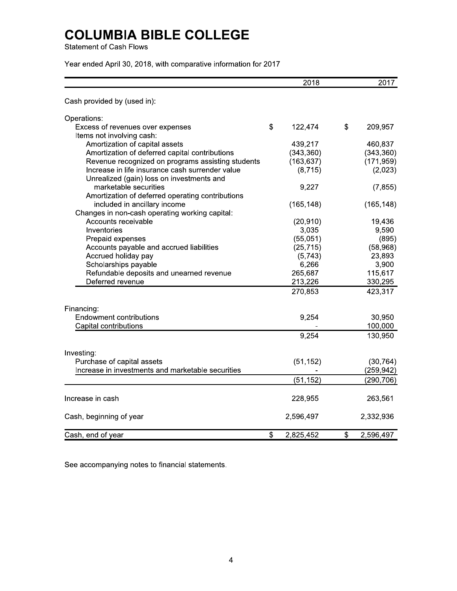**Statement of Cash Flows** 

Year ended April 30, 2018, with comparative information for 2017

|                                                   | 2018            | 2017            |
|---------------------------------------------------|-----------------|-----------------|
| Cash provided by (used in):                       |                 |                 |
| Operations:                                       |                 |                 |
| Excess of revenues over expenses                  | \$<br>122,474   | \$<br>209,957   |
| Items not involving cash:                         |                 |                 |
| Amortization of capital assets                    | 439,217         | 460,837         |
| Amortization of deferred capital contributions    | (343, 360)      | (343, 360)      |
| Revenue recognized on programs assisting students | (163, 637)      | (171, 959)      |
| Increase in life insurance cash surrender value   | (8, 715)        | (2,023)         |
| Unrealized (gain) loss on investments and         |                 |                 |
| marketable securities                             | 9,227           | (7, 855)        |
| Amortization of deferred operating contributions  |                 |                 |
| included in ancillary income                      | (165, 148)      | (165, 148)      |
| Changes in non-cash operating working capital:    |                 |                 |
| Accounts receivable                               | (20, 910)       | 19,436          |
| Inventories                                       | 3,035           | 9,590           |
| Prepaid expenses                                  | (55,051)        | (895)           |
| Accounts payable and accrued liabilities          | (25, 715)       | (58, 968)       |
| Accrued holiday pay                               | (5,743)         | 23,893          |
| Scholarships payable                              | 6,266           | 3,900           |
| Refundable deposits and unearned revenue          | 265,687         | 115,617         |
| Deferred revenue                                  | 213,226         | 330,295         |
|                                                   | 270,853         | 423,317         |
| Financing:                                        |                 |                 |
| <b>Endowment contributions</b>                    | 9,254           | 30,950          |
| Capital contributions                             |                 | 100,000         |
|                                                   | 9,254           | 130,950         |
| Investing:                                        |                 |                 |
| Purchase of capital assets                        | (51, 152)       | (30, 764)       |
| Increase in investments and marketable securities |                 | (259, 942)      |
|                                                   | (51, 152)       | (290, 706)      |
| Increase in cash                                  | 228,955         | 263,561         |
| Cash, beginning of year                           | 2,596,497       | 2,332,936       |
| Cash, end of year                                 | \$<br>2,825,452 | \$<br>2,596,497 |

See accompanying notes to financial statements.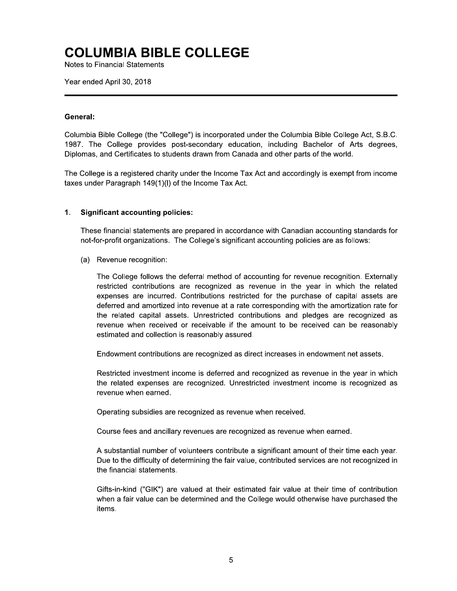**Notes to Financial Statements** 

Year ended April 30, 2018

### General:

Columbia Bible College (the "College") is incorporated under the Columbia Bible College Act, S.B.C. 1987. The College provides post-secondary education, including Bachelor of Arts degrees, Diplomas, and Certificates to students drawn from Canada and other parts of the world.

The College is a registered charity under the Income Tax Act and accordingly is exempt from income taxes under Paragraph 149(1)(I) of the Income Tax Act.

#### $\mathbf 1$ . **Significant accounting policies:**

These financial statements are prepared in accordance with Canadian accounting standards for not-for-profit organizations. The College's significant accounting policies are as follows:

(a) Revenue recognition:

The College follows the deferral method of accounting for revenue recognition. Externally restricted contributions are recognized as revenue in the year in which the related expenses are incurred. Contributions restricted for the purchase of capital assets are deferred and amortized into revenue at a rate corresponding with the amortization rate for the related capital assets. Unrestricted contributions and pledges are recognized as revenue when received or receivable if the amount to be received can be reasonably estimated and collection is reasonably assured.

Endowment contributions are recognized as direct increases in endowment net assets.

Restricted investment income is deferred and recognized as revenue in the year in which the related expenses are recognized. Unrestricted investment income is recognized as revenue when earned.

Operating subsidies are recognized as revenue when received.

Course fees and ancillary revenues are recognized as revenue when earned.

A substantial number of volunteers contribute a significant amount of their time each year. Due to the difficulty of determining the fair value, contributed services are not recognized in the financial statements.

Gifts-in-kind ("GIK") are valued at their estimated fair value at their time of contribution when a fair value can be determined and the College would otherwise have purchased the items.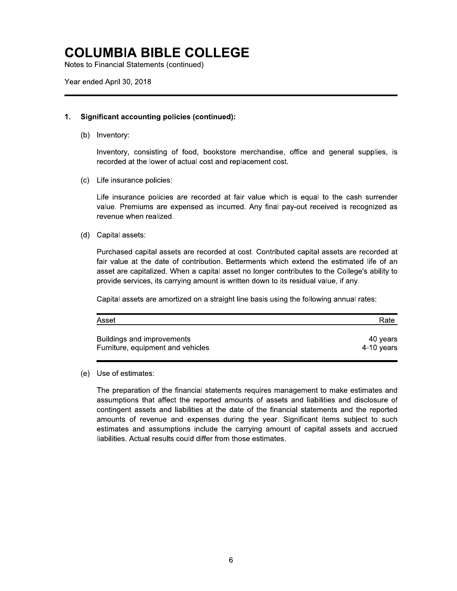Notes to Financial Statements (continued)

Year ended April 30, 2018

#### **Significant accounting policies (continued):**  $\mathbf 1$ .

(b) Inventory:

Inventory, consisting of food, bookstore merchandise, office and general supplies, is recorded at the lower of actual cost and replacement cost.

(c) Life insurance policies:

Life insurance policies are recorded at fair value which is equal to the cash surrender value. Premiums are expensed as incurred. Any final pay-out received is recognized as revenue when realized.

(d) Capital assets:

Purchased capital assets are recorded at cost. Contributed capital assets are recorded at fair value at the date of contribution. Betterments which extend the estimated life of an asset are capitalized. When a capital asset no longer contributes to the College's ability to provide services, its carrying amount is written down to its residual value, if any.

Capital assets are amortized on a straight line basis using the following annual rates:

| Asset                             | Rate       |
|-----------------------------------|------------|
| Buildings and improvements        | 40 vears   |
| Furniture, equipment and vehicles | 4-10 years |

(e) Use of estimates:

The preparation of the financial statements requires management to make estimates and assumptions that affect the reported amounts of assets and liabilities and disclosure of contingent assets and liabilities at the date of the financial statements and the reported amounts of revenue and expenses during the year. Significant items subject to such estimates and assumptions include the carrying amount of capital assets and accrued liabilities. Actual results could differ from those estimates.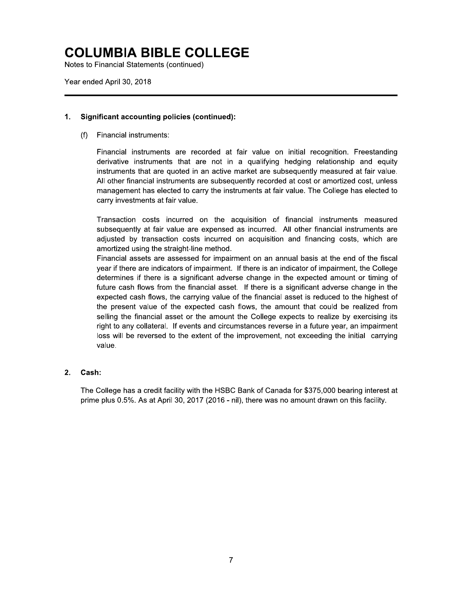Notes to Financial Statements (continued)

Year ended April 30, 2018

#### **Significant accounting policies (continued):**  $\mathbf 1$ .

 $(f)$ Financial instruments:

> Financial instruments are recorded at fair value on initial recognition. Freestanding derivative instruments that are not in a qualifying hedging relationship and equity instruments that are quoted in an active market are subsequently measured at fair value. All other financial instruments are subsequently recorded at cost or amortized cost, unless management has elected to carry the instruments at fair value. The College has elected to carry investments at fair value.

> Transaction costs incurred on the acquisition of financial instruments measured subsequently at fair value are expensed as incurred. All other financial instruments are adjusted by transaction costs incurred on acquisition and financing costs, which are amortized using the straight-line method.

> Financial assets are assessed for impairment on an annual basis at the end of the fiscal year if there are indicators of impairment. If there is an indicator of impairment, the College determines if there is a significant adverse change in the expected amount or timing of future cash flows from the financial asset. If there is a significant adverse change in the expected cash flows, the carrying value of the financial asset is reduced to the highest of the present value of the expected cash flows, the amount that could be realized from selling the financial asset or the amount the College expects to realize by exercising its right to any collateral. If events and circumstances reverse in a future year, an impairment loss will be reversed to the extent of the improvement, not exceeding the initial carrying value.

#### $2.$ Cash:

The College has a credit facility with the HSBC Bank of Canada for \$375,000 bearing interest at prime plus 0.5%. As at April 30, 2017 (2016 - nil), there was no amount drawn on this facility.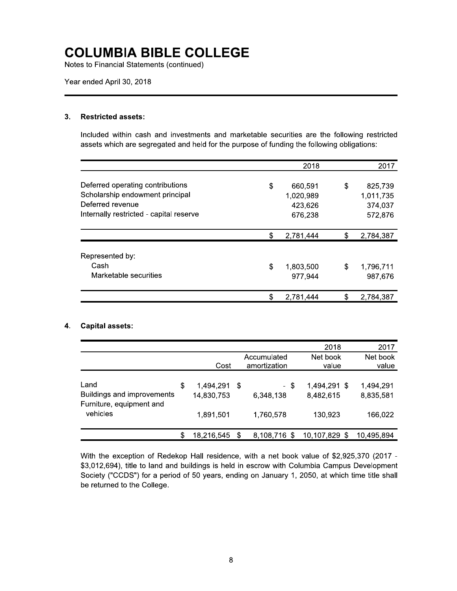Notes to Financial Statements (continued)

Year ended April 30, 2018

#### **Restricted assets:**  $3.$

Included within cash and investments and marketable securities are the following restricted assets which are segregated and held for the purpose of funding the following obligations:

|                                         |    | 2018      | 2017            |
|-----------------------------------------|----|-----------|-----------------|
|                                         |    |           |                 |
| Deferred operating contributions        | \$ | 660,591   | \$<br>825,739   |
| Scholarship endowment principal         |    | 1,020,989 | 1,011,735       |
| Deferred revenue                        |    | 423,626   | 374.037         |
| Internally restricted - capital reserve |    | 676,238   | 572,876         |
|                                         | S  | 2,781,444 | \$<br>2,784,387 |
|                                         |    |           |                 |
| Represented by:                         |    |           |                 |
| Cash                                    | \$ | 1,803,500 | \$<br>1,796,711 |
| Marketable securities                   |    | 977,944   | 987,676         |
|                                         |    | 2,781,444 | 2,784,387       |

### 4. Capital assets:

|                                                                            |    |                                      |    |                                | 2018                                 | 2017                              |
|----------------------------------------------------------------------------|----|--------------------------------------|----|--------------------------------|--------------------------------------|-----------------------------------|
|                                                                            |    | Cost                                 |    | Accumulated<br>amortization    | Net book<br>value                    | Net book<br>value                 |
| Land<br>Buildings and improvements<br>Furniture, equipment and<br>vehicles | \$ | 1,494,291<br>14,830,753<br>1,891,501 | S. | - \$<br>6,348,138<br>1,760,578 | 1,494,291 \$<br>8,482,615<br>130,923 | 1,494,291<br>8,835,581<br>166,022 |
|                                                                            | S  | 18,216,545                           | \$ | 8,108,716                      | 10,107,829 \$                        | 10,495,894                        |

With the exception of Redekop Hall residence, with a net book value of \$2,925,370 (2017 -\$3,012,694), title to land and buildings is held in escrow with Columbia Campus Development Society ("CCDS") for a period of 50 years, ending on January 1, 2050, at which time title shall be returned to the College.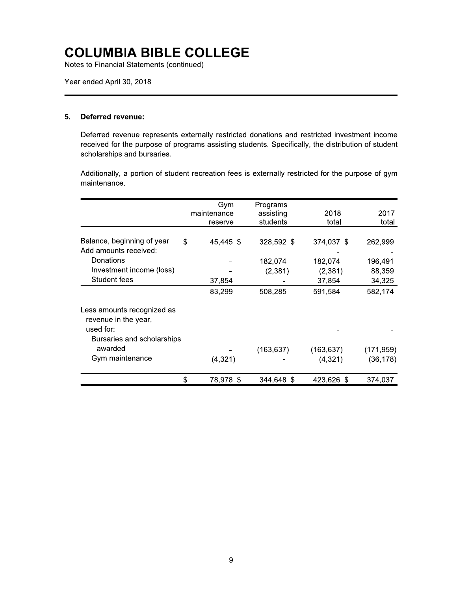Notes to Financial Statements (continued)

Year ended April 30, 2018

#### **Deferred revenue:**  $5<sub>1</sub>$

Deferred revenue represents externally restricted donations and restricted investment income received for the purpose of programs assisting students. Specifically, the distribution of student scholarships and bursaries.

Additionally, a portion of student recreation fees is externally restricted for the purpose of gym maintenance.

|                                                                 | Gym<br>maintenance | Programs<br>assisting | 2018       | 2017       |
|-----------------------------------------------------------------|--------------------|-----------------------|------------|------------|
|                                                                 | reserve            | students              | total      | total      |
| Balance, beginning of year<br>Add amounts received:             | \$<br>45,445 \$    | 328,592 \$            | 374,037 \$ | 262,999    |
| Donations                                                       |                    | 182,074               | 182,074    | 196,491    |
| Investment income (loss)                                        |                    | (2, 381)              | (2,381)    | 88,359     |
| Student fees                                                    | 37,854             |                       | 37,854     | 34,325     |
|                                                                 | 83,299             | 508,285               | 591,584    | 582,174    |
| Less amounts recognized as<br>revenue in the year,<br>used for: |                    |                       |            |            |
| Bursaries and scholarships                                      |                    |                       |            |            |
| awarded                                                         |                    | (163, 637)            | (163, 637) | (171, 959) |
| Gym maintenance                                                 | (4,321)            |                       | (4, 321)   | (36,178)   |
|                                                                 | \$<br>78,978 \$    | 344.648 \$            | 423,626 \$ | 374,037    |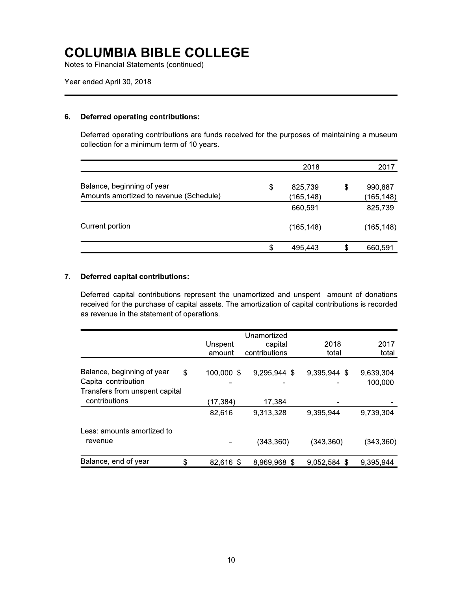Notes to Financial Statements (continued)

#### **Deferred operating contributions:** 6.

Deferred operating contributions are funds received for the purposes of maintaining a museum collection for a minimum term of 10 years.

|                                                                       | 2018                       | 2017                        |
|-----------------------------------------------------------------------|----------------------------|-----------------------------|
| Balance, beginning of year<br>Amounts amortized to revenue (Schedule) | \$<br>825,739<br>(165,148) | \$<br>990,887<br>(165, 148) |
|                                                                       | 660,591                    | 825,739                     |
| Current portion                                                       | (165, 148)                 | (165, 148)                  |
|                                                                       | \$<br>495,443              | 660,591                     |

#### $7.$ **Deferred capital contributions:**

Deferred capital contributions represent the unamortized and unspent amount of donations received for the purchase of capital assets. The amortization of capital contributions is recorded as revenue in the statement of operations.

|                                                    | Unspent<br>amount | Unamortized<br>capital<br>contributions | 2018<br>total | 2017<br>total        |
|----------------------------------------------------|-------------------|-----------------------------------------|---------------|----------------------|
| Balance, beginning of year<br>Capital contribution | \$<br>100,000 \$  | 9,295,944 \$                            | 9,395,944 \$  | 9,639,304<br>100,000 |
| Transfers from unspent capital<br>contributions    | (17,384)          | 17,384                                  |               |                      |
|                                                    | 82,616            | 9,313,328                               | 9,395,944     | 9,739,304            |
| Less: amounts amortized to                         |                   |                                         |               |                      |
| revenue                                            |                   | (343, 360)                              | (343, 360)    | (343, 360)           |
| Balance, end of year                               | \$<br>82,616 \$   | 8,969,968 \$                            | 9,052,584 \$  | 9,395,944            |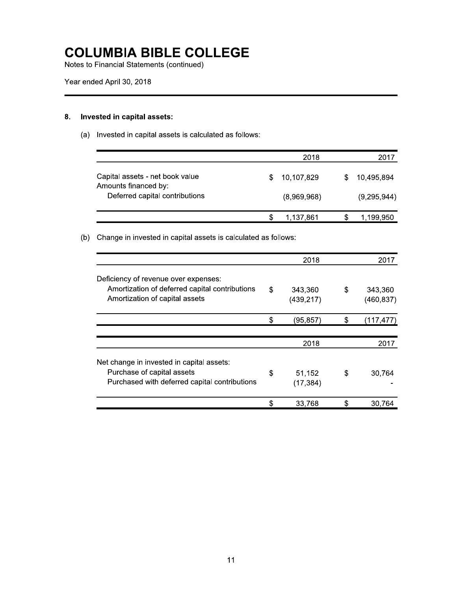Notes to Financial Statements (continued)

#### Invested in capital assets: 8.

(a) Invested in capital assets is calculated as follows:

|                                                         | 2018        | 2017        |
|---------------------------------------------------------|-------------|-------------|
| Capital assets - net book value<br>Amounts financed by: | 10,107,829  | 10,495,894  |
| Deferred capital contributions                          | (8,969,968) | (9,295,944) |
|                                                         | 1.137.861   | 1,199,950   |

### (b) Change in invested in capital assets is calculated as follows:

|                                                                                                                          | 2018                        |    | 2017                  |
|--------------------------------------------------------------------------------------------------------------------------|-----------------------------|----|-----------------------|
| Deficiency of revenue over expenses:<br>Amortization of deferred capital contributions<br>Amortization of capital assets | \$<br>343,360<br>(439, 217) | \$ | 343,360<br>(460, 837) |
|                                                                                                                          | \$<br>(95, 857)             | \$ | (117, 477)            |
|                                                                                                                          | 2018                        |    | 2017                  |
| Net change in invested in capital assets:<br>Purchase of capital assets<br>Purchased with deferred capital contributions | \$<br>51,152<br>(17, 384)   | S  | 30.764                |
|                                                                                                                          | 33,768                      | \$ | 30.764                |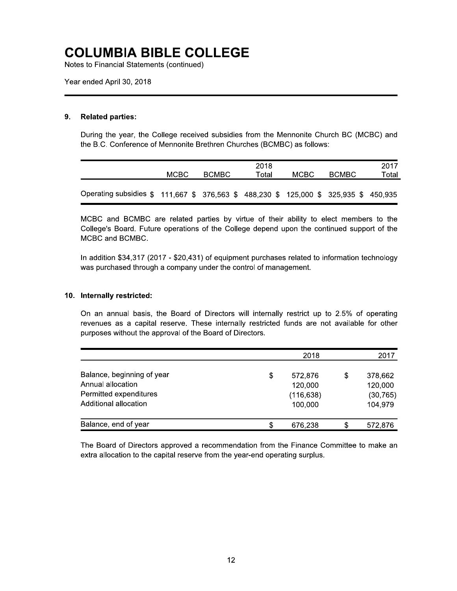Notes to Financial Statements (continued)

Year ended April 30, 2018

#### **Related parties:** 9.

During the year, the College received subsidies from the Mennonite Church BC (MCBC) and the B.C. Conference of Mennonite Brethren Churches (BCMBC) as follows:

|                                                                                       | MCBC. | <b>BCMBC</b> | 2018<br>Total | MCBC. | 2017<br>Total<br><b>BCMBC</b> |  |  |
|---------------------------------------------------------------------------------------|-------|--------------|---------------|-------|-------------------------------|--|--|
| Operating subsidies \$ 111,667 \$ 376,563 \$ 488,230 \$ 125,000 \$ 325,935 \$ 450,935 |       |              |               |       |                               |  |  |

MCBC and BCMBC are related parties by virtue of their ability to elect members to the College's Board. Future operations of the College depend upon the continued support of the MCBC and BCMBC.

In addition \$34,317 (2017 - \$20,431) of equipment purchases related to information technology was purchased through a company under the control of management.

#### 10. Internally restricted:

On an annual basis, the Board of Directors will internally restrict up to 2.5% of operating revenues as a capital reserve. These internally restricted funds are not available for other purposes without the approval of the Board of Directors.

|                                                                                                    | 2018                                              | 2017                                             |
|----------------------------------------------------------------------------------------------------|---------------------------------------------------|--------------------------------------------------|
| Balance, beginning of year<br>Annual allocation<br>Permitted expenditures<br>Additional allocation | \$<br>572,876<br>120,000<br>(116, 638)<br>100,000 | \$<br>378,662<br>120,000<br>(30, 765)<br>104,979 |
| Balance, end of year                                                                               | 676,238                                           | 572,876                                          |

The Board of Directors approved a recommendation from the Finance Committee to make an extra allocation to the capital reserve from the year-end operating surplus.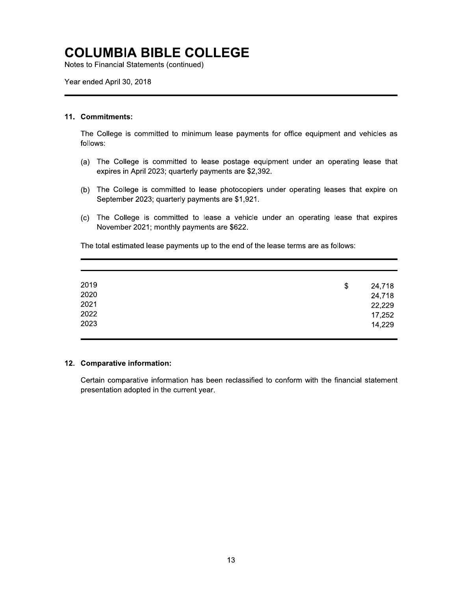Notes to Financial Statements (continued)

Year ended April 30, 2018

#### 11. Commitments:

The College is committed to minimum lease payments for office equipment and vehicles as follows:

- (a) The College is committed to lease postage equipment under an operating lease that expires in April 2023; quarterly payments are \$2,392.
- (b) The College is committed to lease photocopiers under operating leases that expire on September 2023; quarterly payments are \$1,921.
- (c) The College is committed to lease a vehicle under an operating lease that expires November 2021; monthly payments are \$622.

The total estimated lease payments up to the end of the lease terms are as follows:

| 2019 | \$<br>24,718 |
|------|--------------|
| 2020 | 24,718       |
| 2021 | 22,229       |
| 2022 | 17,252       |
| 2023 | 14,229       |
|      |              |

#### 12. Comparative information:

Certain comparative information has been reclassified to conform with the financial statement presentation adopted in the current year.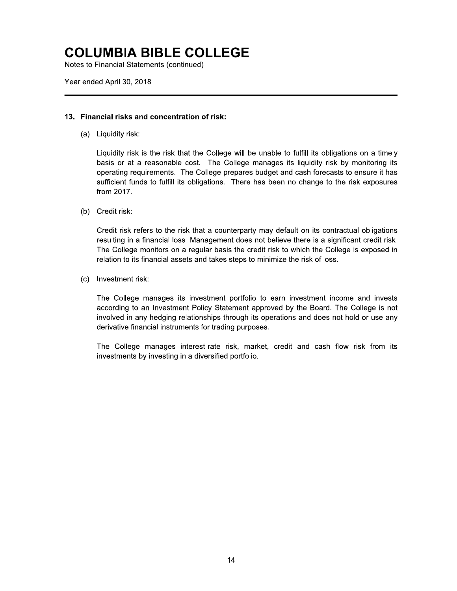Notes to Financial Statements (continued)

Year ended April 30, 2018

### 13. Financial risks and concentration of risk:

(a) Liquidity risk:

Liquidity risk is the risk that the College will be unable to fulfill its obligations on a timely basis or at a reasonable cost. The College manages its liquidity risk by monitoring its operating requirements. The College prepares budget and cash forecasts to ensure it has sufficient funds to fulfill its obligations. There has been no change to the risk exposures from 2017.

(b) Credit risk:

Credit risk refers to the risk that a counterparty may default on its contractual obligations resulting in a financial loss. Management does not believe there is a significant credit risk. The College monitors on a regular basis the credit risk to which the College is exposed in relation to its financial assets and takes steps to minimize the risk of loss.

(c) Investment risk:

The College manages its investment portfolio to earn investment income and invests according to an Investment Policy Statement approved by the Board. The College is not involved in any hedging relationships through its operations and does not hold or use any derivative financial instruments for trading purposes.

The College manages interest-rate risk, market, credit and cash flow risk from its investments by investing in a diversified portfolio.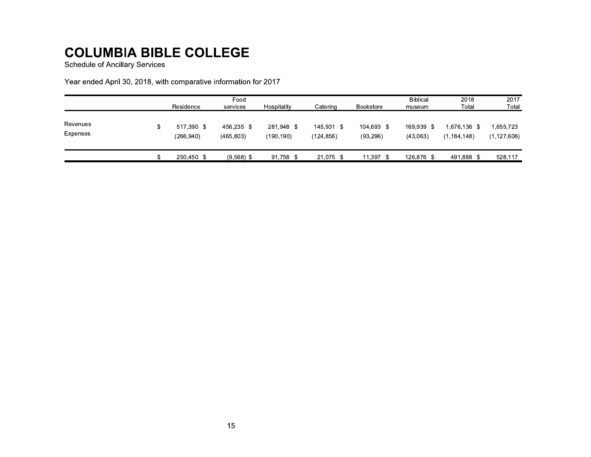**Schedule of Ancillary Services** 

Year ended April 30, 2018, with comparative information for 2017

|                             | Residence               | Food<br>services         | Hospitality             | Catering                | <b>Bookstore</b>        | <b>Biblical</b><br>museum | 2018<br>Total                 | 2017<br>Total              |
|-----------------------------|-------------------------|--------------------------|-------------------------|-------------------------|-------------------------|---------------------------|-------------------------------|----------------------------|
| Revenues<br><b>Expenses</b> | 517.390 \$<br>(266,940) | 456,235 \$<br>(465, 803) | 281,948 \$<br>(190.190) | 145,931 \$<br>(124,856) | 104,693 \$<br>(93, 296) | 169,939<br>-S<br>(43,063) | 1.676.136 \$<br>(1, 184, 148) | 1,655,723<br>(1, 127, 606) |
|                             | 250.450 \$              | $(9,568)$ \$             | 91.758 \$               | 21.075 \$               | 11,397 \$               | 126,876 \$                | 491,888 \$                    | 528,117                    |